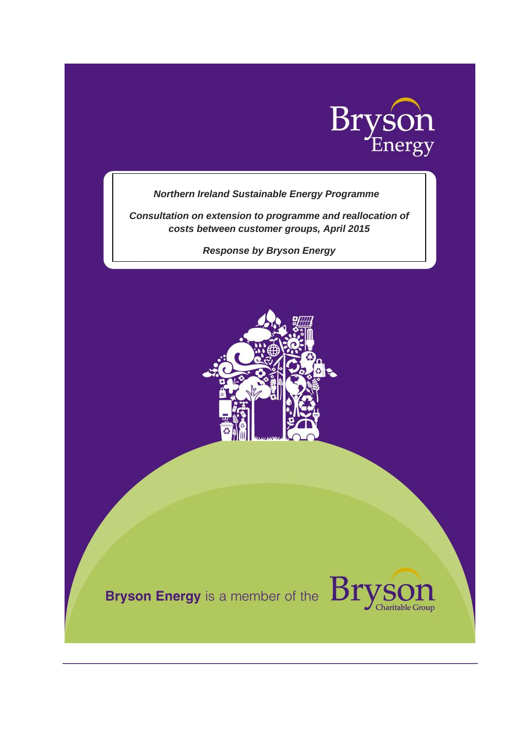

## *Northern Ireland Sustainable Energy Programme*

*Consultation on extension to programme and reallocation of costs between customer groups, April 2015*

*Response by Bryson Energy*



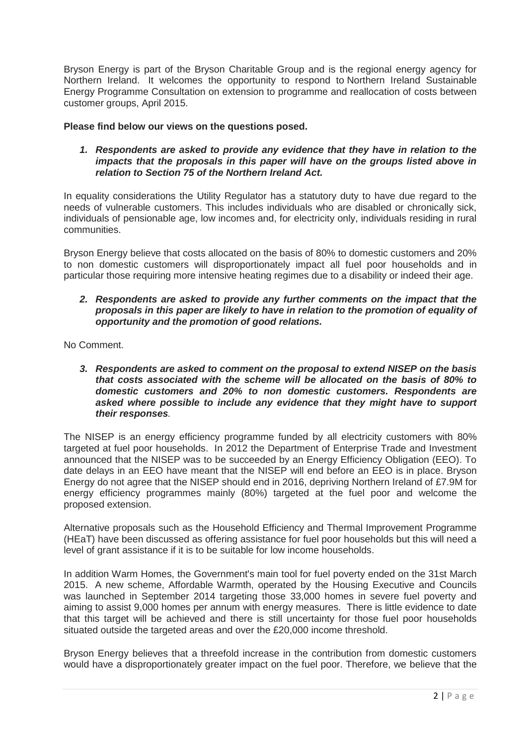Bryson Energy is part of the Bryson Charitable Group and is the regional energy agency for Northern Ireland. It welcomes the opportunity to respond to Northern Ireland Sustainable Energy Programme Consultation on extension to programme and reallocation of costs between customer groups, April 2015.

## **Please find below our views on the questions posed.**

*1. Respondents are asked to provide any evidence that they have in relation to the impacts that the proposals in this paper will have on the groups listed above in relation to Section 75 of the Northern Ireland Act.*

In equality considerations the Utility Regulator has a statutory duty to have due regard to the needs of vulnerable customers. This includes individuals who are disabled or chronically sick, individuals of pensionable age, low incomes and, for electricity only, individuals residing in rural communities.

Bryson Energy believe that costs allocated on the basis of 80% to domestic customers and 20% to non domestic customers will disproportionately impact all fuel poor households and in particular those requiring more intensive heating regimes due to a disability or indeed their age.

## *2. Respondents are asked to provide any further comments on the impact that the proposals in this paper are likely to have in relation to the promotion of equality of opportunity and the promotion of good relations.*

No Comment.

*3. Respondents are asked to comment on the proposal to extend NISEP on the basis that costs associated with the scheme will be allocated on the basis of 80% to domestic customers and 20% to non domestic customers. Respondents are asked where possible to include any evidence that they might have to support their responses.*

The NISEP is an energy efficiency programme funded by all electricity customers with 80% targeted at fuel poor households. In 2012 the Department of Enterprise Trade and Investment announced that the NISEP was to be succeeded by an Energy Efficiency Obligation (EEO). To date delays in an EEO have meant that the NISEP will end before an EEO is in place. Bryson Energy do not agree that the NISEP should end in 2016, depriving Northern Ireland of £7.9M for energy efficiency programmes mainly (80%) targeted at the fuel poor and welcome the proposed extension.

Alternative proposals such as the Household Efficiency and Thermal Improvement Programme (HEaT) have been discussed as offering assistance for fuel poor households but this will need a level of grant assistance if it is to be suitable for low income households.

In addition Warm Homes, the Government's main tool for fuel poverty ended on the 31st March 2015. A new scheme, Affordable Warmth, operated by the Housing Executive and Councils was launched in September 2014 targeting those 33,000 homes in severe fuel poverty and aiming to assist 9,000 homes per annum with energy measures. There is little evidence to date that this target will be achieved and there is still uncertainty for those fuel poor households situated outside the targeted areas and over the £20,000 income threshold.

Bryson Energy believes that a threefold increase in the contribution from domestic customers would have a disproportionately greater impact on the fuel poor. Therefore, we believe that the